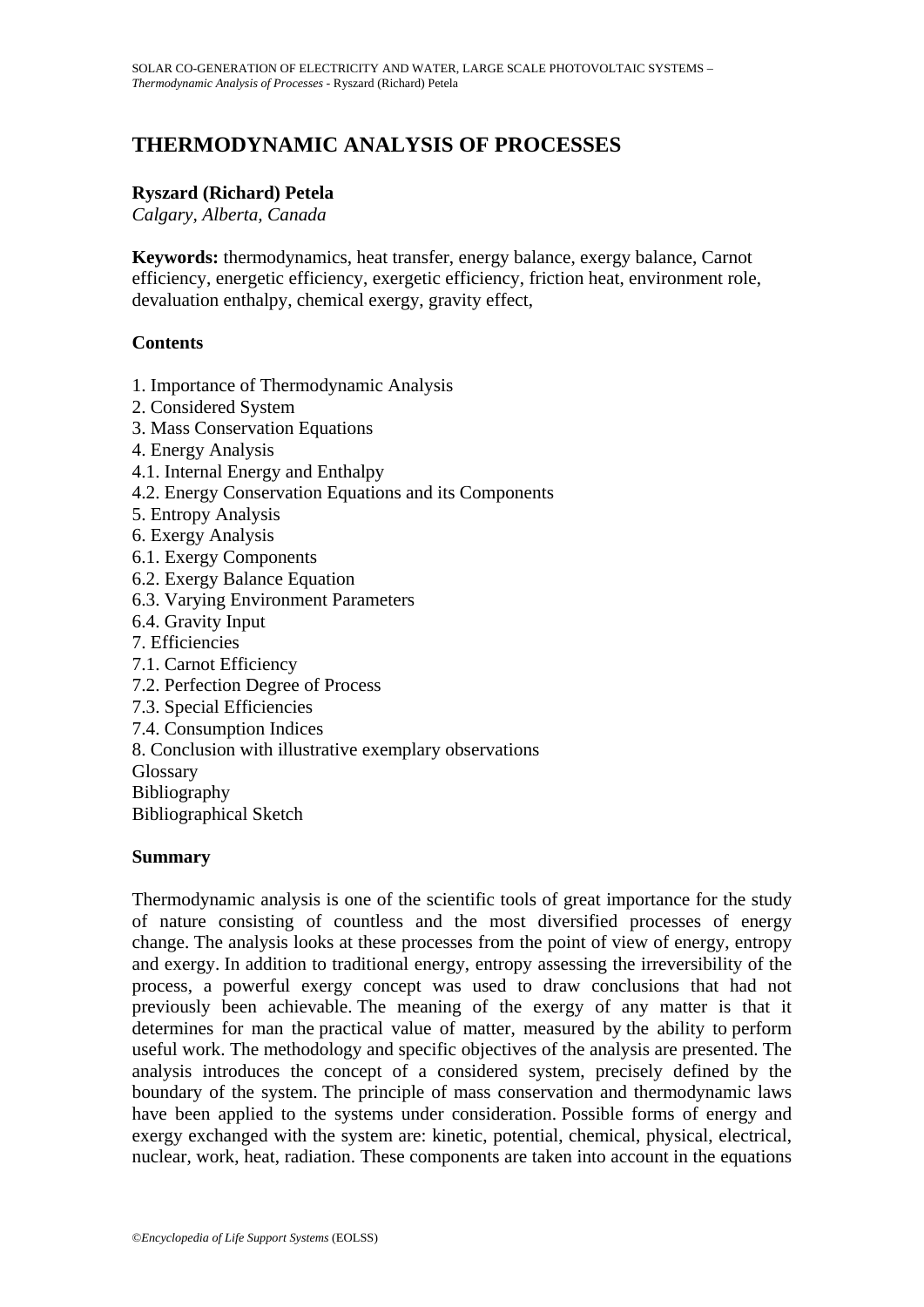# **THERMODYNAMIC ANALYSIS OF PROCESSES**

#### **Ryszard (Richard) Petela**

*Calgary, Alberta, Canada* 

**Keywords:** thermodynamics, heat transfer, energy balance, exergy balance, Carnot efficiency, energetic efficiency, exergetic efficiency, friction heat, environment role, devaluation enthalpy, chemical exergy, gravity effect,

## **Contents**

- 1. Importance of Thermodynamic Analysis
- 2. Considered System
- 3. Mass Conservation Equations
- 4. Energy Analysis
- 4.1. Internal Energy and Enthalpy
- 4.2. Energy Conservation Equations and its Components
- 5. Entropy Analysis
- 6. Exergy Analysis
- 6.1. Exergy Components
- 6.2. Exergy Balance Equation
- 6.3. Varying Environment Parameters
- 6.4. Gravity Input
- 7. Efficiencies
- 7.1. Carnot Efficiency
- 7.2. Perfection Degree of Process
- 7.3. Special Efficiencies
- 7.4. Consumption Indices
- 8. Conclusion with illustrative exemplary observations

Glossary

Bibliography

Bibliographical Sketch

#### **Summary**

Thermodynamic analysis is one of the scientific tools of great importance for the study of nature consisting of countless and the most diversified processes of energy change. The analysis looks at these processes from the point of view of energy, entropy and exergy. In addition to traditional energy, entropy assessing the irreversibility of the process, a powerful exergy concept was used to draw conclusions that had not previously been achievable. The meaning of the exergy of any matter is that it determines for man the practical value of matter, measured by the ability to perform useful work. The methodology and specific objectives of the analysis are presented. The analysis introduces the concept of a considered system, precisely defined by the boundary of the system. The principle of mass conservation and thermodynamic laws have been applied to the systems under consideration. Possible forms of energy and exergy exchanged with the system are: kinetic, potential, chemical, physical, electrical, nuclear, work, heat, radiation. These components are taken into account in the equations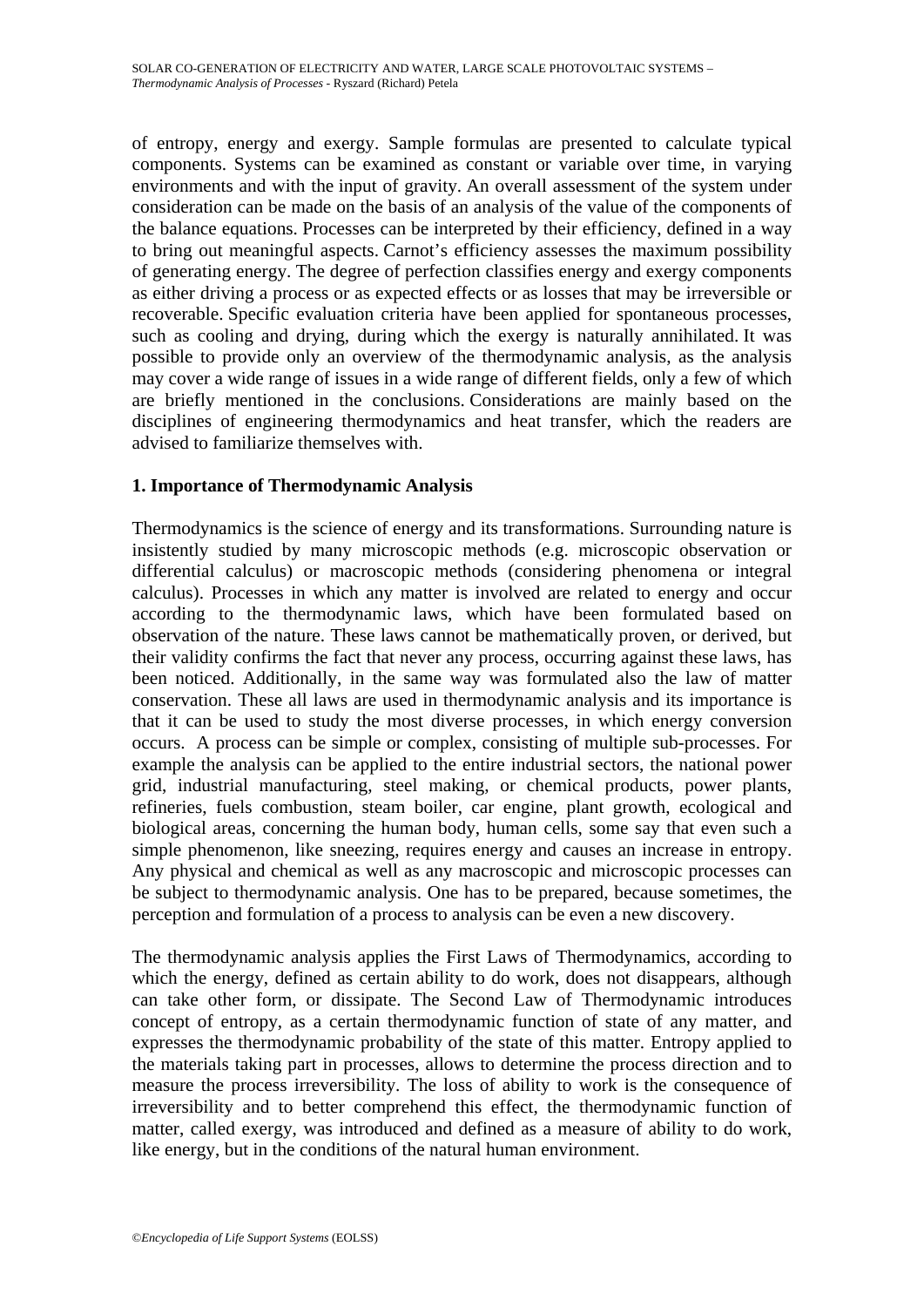of entropy, energy and exergy. Sample formulas are presented to calculate typical components. Systems can be examined as constant or variable over time, in varying environments and with the input of gravity. An overall assessment of the system under consideration can be made on the basis of an analysis of the value of the components of the balance equations. Processes can be interpreted by their efficiency, defined in a way to bring out meaningful aspects. Carnot's efficiency assesses the maximum possibility of generating energy. The degree of perfection classifies energy and exergy components as either driving a process or as expected effects or as losses that may be irreversible or recoverable. Specific evaluation criteria have been applied for spontaneous processes, such as cooling and drying, during which the exergy is naturally annihilated. It was possible to provide only an overview of the thermodynamic analysis, as the analysis may cover a wide range of issues in a wide range of different fields, only a few of which are briefly mentioned in the conclusions. Considerations are mainly based on the disciplines of engineering thermodynamics and heat transfer, which the readers are advised to familiarize themselves with.

## **1. Importance of Thermodynamic Analysis**

Thermodynamics is the science of energy and its transformations. Surrounding nature is insistently studied by many microscopic methods (e.g. microscopic observation or differential calculus) or macroscopic methods (considering phenomena or integral calculus). Processes in which any matter is involved are related to energy and occur according to the thermodynamic laws, which have been formulated based on observation of the nature. These laws cannot be mathematically proven, or derived, but their validity confirms the fact that never any process, occurring against these laws, has been noticed. Additionally, in the same way was formulated also the law of matter conservation. These all laws are used in thermodynamic analysis and its importance is that it can be used to study the most diverse processes, in which energy conversion occurs. A process can be simple or complex, consisting of multiple sub-processes. For example the analysis can be applied to the entire industrial sectors, the national power grid, industrial manufacturing, steel making, or chemical products, power plants, refineries, fuels combustion, steam boiler, car engine, plant growth, ecological and biological areas, concerning the human body, human cells, some say that even such a simple phenomenon, like sneezing, requires energy and causes an increase in entropy. Any physical and chemical as well as any macroscopic and microscopic processes can be subject to thermodynamic analysis. One has to be prepared, because sometimes, the perception and formulation of a process to analysis can be even a new discovery.

The thermodynamic analysis applies the First Laws of Thermodynamics, according to which the energy, defined as certain ability to do work, does not disappears, although can take other form, or dissipate. The Second Law of Thermodynamic introduces concept of entropy, as a certain thermodynamic function of state of any matter, and expresses the thermodynamic probability of the state of this matter. Entropy applied to the materials taking part in processes, allows to determine the process direction and to measure the process irreversibility. The loss of ability to work is the consequence of irreversibility and to better comprehend this effect, the thermodynamic function of matter, called exergy, was introduced and defined as a measure of ability to do work, like energy, but in the conditions of the natural human environment.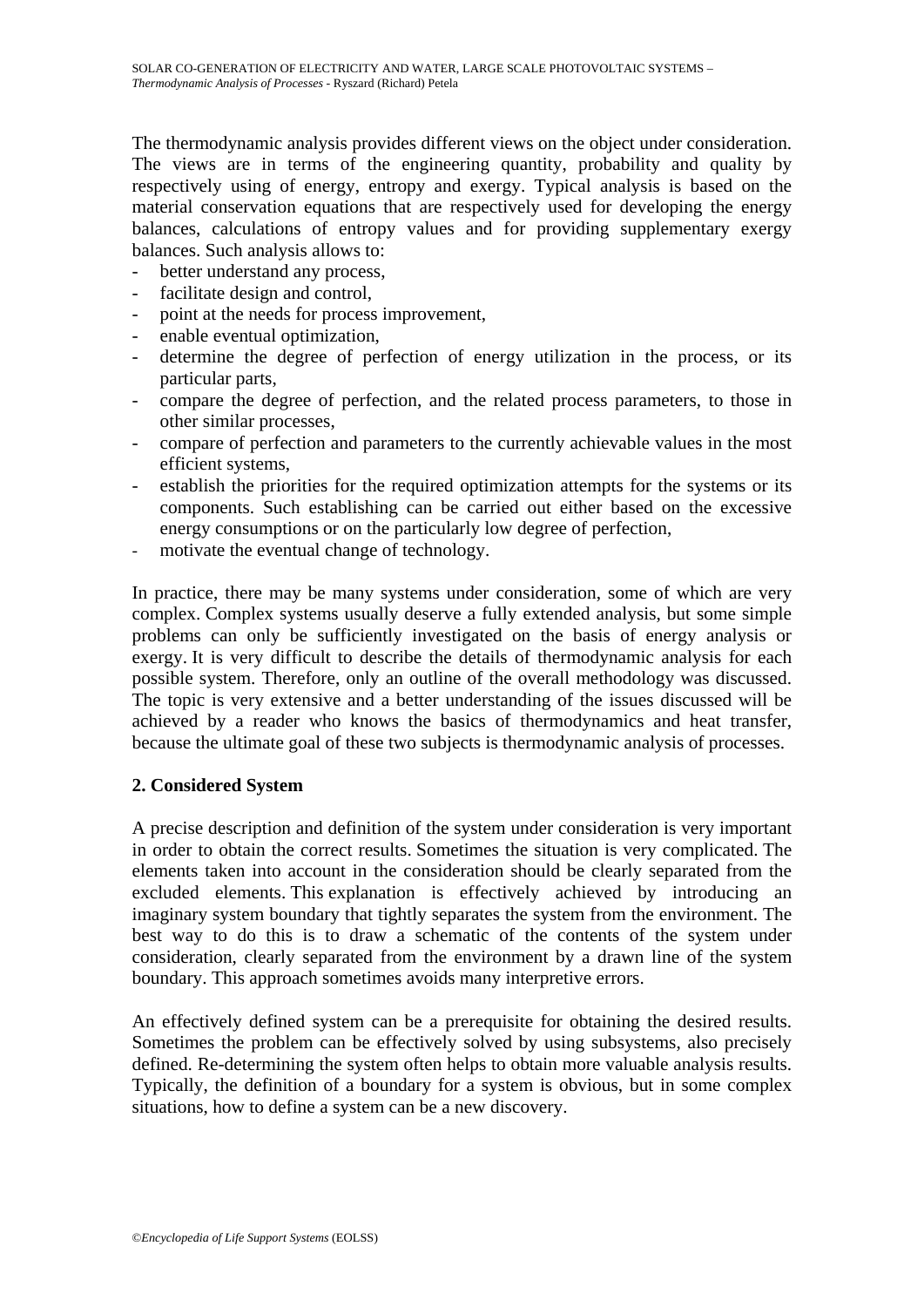The thermodynamic analysis provides different views on the object under consideration. The views are in terms of the engineering quantity, probability and quality by respectively using of energy, entropy and exergy. Typical analysis is based on the material conservation equations that are respectively used for developing the energy balances, calculations of entropy values and for providing supplementary exergy balances. Such analysis allows to:

- better understand any process,
- facilitate design and control,
- point at the needs for process improvement,
- enable eventual optimization,
- determine the degree of perfection of energy utilization in the process, or its particular parts,
- compare the degree of perfection, and the related process parameters, to those in other similar processes,
- compare of perfection and parameters to the currently achievable values in the most efficient systems,
- establish the priorities for the required optimization attempts for the systems or its components. Such establishing can be carried out either based on the excessive energy consumptions or on the particularly low degree of perfection,
- motivate the eventual change of technology.

In practice, there may be many systems under consideration, some of which are very complex. Complex systems usually deserve a fully extended analysis, but some simple problems can only be sufficiently investigated on the basis of energy analysis or exergy. It is very difficult to describe the details of thermodynamic analysis for each possible system. Therefore, only an outline of the overall methodology was discussed. The topic is very extensive and a better understanding of the issues discussed will be achieved by a reader who knows the basics of thermodynamics and heat transfer, because the ultimate goal of these two subjects is thermodynamic analysis of processes.

#### **2. Considered System**

A precise description and definition of the system under consideration is very important in order to obtain the correct results. Sometimes the situation is very complicated. The elements taken into account in the consideration should be clearly separated from the excluded elements. This explanation is effectively achieved by introducing an imaginary system boundary that tightly separates the system from the environment. The best way to do this is to draw a schematic of the contents of the system under consideration, clearly separated from the environment by a drawn line of the system boundary. This approach sometimes avoids many interpretive errors.

An effectively defined system can be a prerequisite for obtaining the desired results. Sometimes the problem can be effectively solved by using subsystems, also precisely defined. Re-determining the system often helps to obtain more valuable analysis results. Typically, the definition of a boundary for a system is obvious, but in some complex situations, how to define a system can be a new discovery.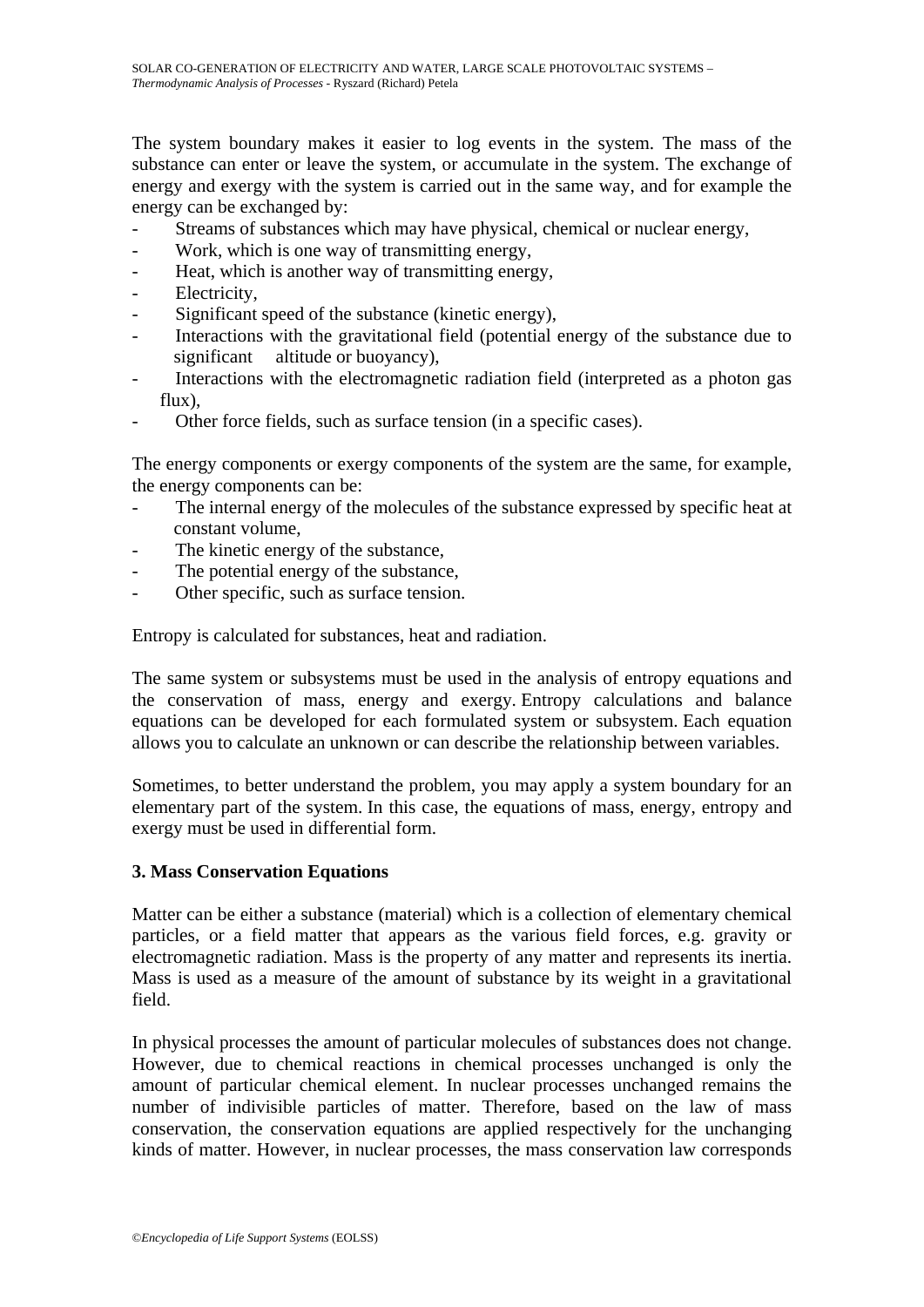The system boundary makes it easier to log events in the system. The mass of the substance can enter or leave the system, or accumulate in the system. The exchange of energy and exergy with the system is carried out in the same way, and for example the energy can be exchanged by:

- Streams of substances which may have physical, chemical or nuclear energy,
- Work, which is one way of transmitting energy,
- Heat, which is another way of transmitting energy,
- Electricity,
- Significant speed of the substance (kinetic energy),
- Interactions with the gravitational field (potential energy of the substance due to significant altitude or buoyancy),
- Interactions with the electromagnetic radiation field (interpreted as a photon gas flux),
- Other force fields, such as surface tension (in a specific cases).

The energy components or exergy components of the system are the same, for example, the energy components can be:

- The internal energy of the molecules of the substance expressed by specific heat at constant volume,
- The kinetic energy of the substance,
- The potential energy of the substance,
- Other specific, such as surface tension.

Entropy is calculated for substances, heat and radiation.

The same system or subsystems must be used in the analysis of entropy equations and the conservation of mass, energy and exergy. Entropy calculations and balance equations can be developed for each formulated system or subsystem. Each equation allows you to calculate an unknown or can describe the relationship between variables.

Sometimes, to better understand the problem, you may apply a system boundary for an elementary part of the system. In this case, the equations of mass, energy, entropy and exergy must be used in differential form.

#### **3. Mass Conservation Equations**

Matter can be either a substance (material) which is a collection of elementary chemical particles, or a field matter that appears as the various field forces, e.g. gravity or electromagnetic radiation. Mass is the property of any matter and represents its inertia. Mass is used as a measure of the amount of substance by its weight in a gravitational field.

In physical processes the amount of particular molecules of substances does not change. However, due to chemical reactions in chemical processes unchanged is only the amount of particular chemical element. In nuclear processes unchanged remains the number of indivisible particles of matter. Therefore, based on the law of mass conservation, the conservation equations are applied respectively for the unchanging kinds of matter. However, in nuclear processes, the mass conservation law corresponds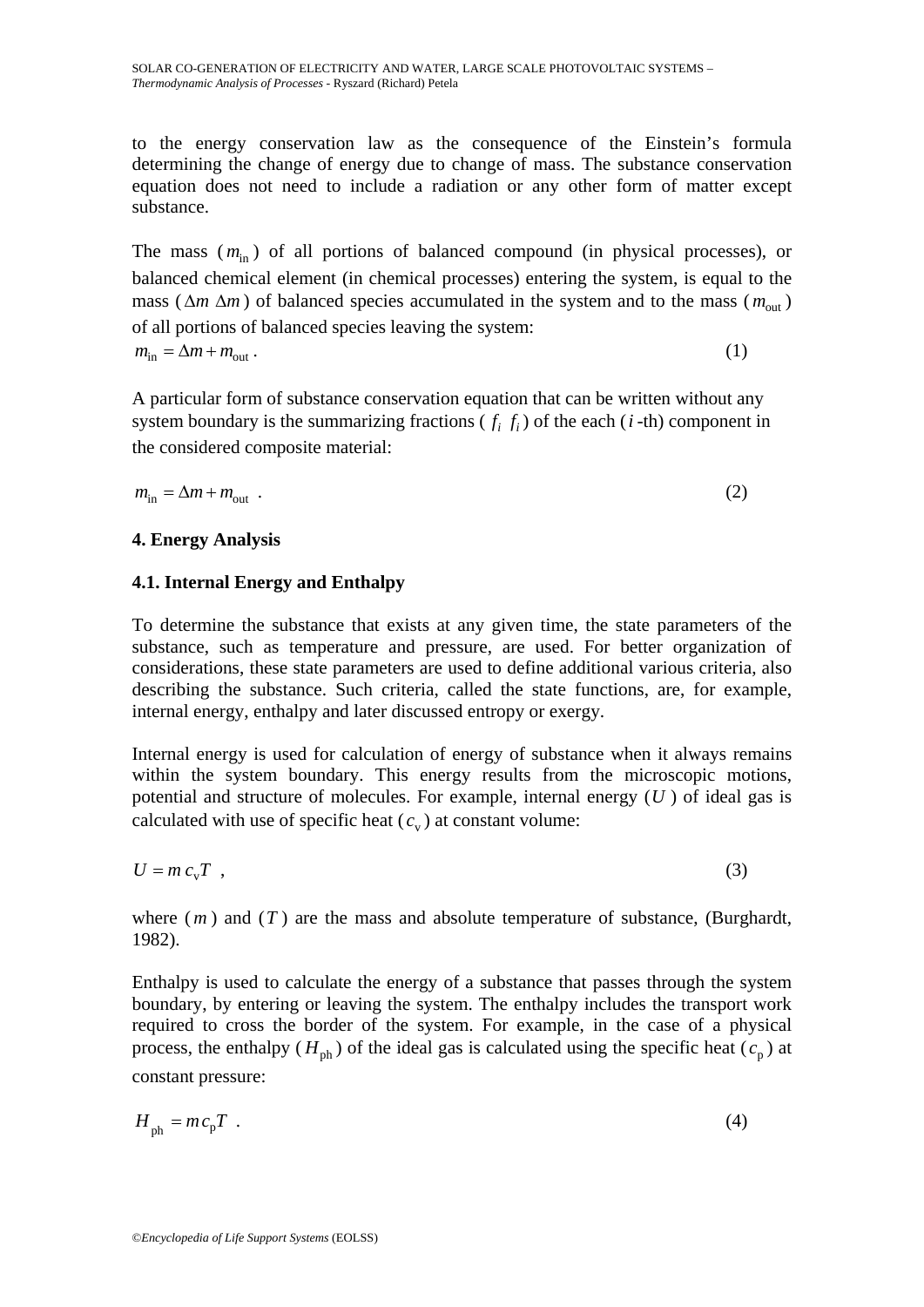to the energy conservation law as the consequence of the Einstein's formula determining the change of energy due to change of mass. The substance conservation equation does not need to include a radiation or any other form of matter except substance.

The mass  $(m_{in})$  of all portions of balanced compound (in physical processes), or balanced chemical element (in chemical processes) entering the system, is equal to the mass ( $\Delta m \Delta m$ ) of balanced species accumulated in the system and to the mass ( $m_{\text{out}}$ ) of all portions of balanced species leaving the system:  $m_{\rm in} = \Delta m + m_{\rm out}$  (1)

A particular form of substance conservation equation that can be written without any system boundary is the summarizing fractions  $(f_i, f_j)$  of the each  $(i$ -th) component in the considered composite material:

$$
m_{\rm in} = \Delta m + m_{\rm out} \tag{2}
$$

## **4. Energy Analysis**

## **4.1. Internal Energy and Enthalpy**

To determine the substance that exists at any given time, the state parameters of the substance, such as temperature and pressure, are used. For better organization of considerations, these state parameters are used to define additional various criteria, also describing the substance. Such criteria, called the state functions, are, for example, internal energy, enthalpy and later discussed entropy or exergy.

Internal energy is used for calculation of energy of substance when it always remains within the system boundary. This energy results from the microscopic motions, potential and structure of molecules. For example, internal energy (*U* ) of ideal gas is calculated with use of specific heat  $(c_v)$  at constant volume:

$$
U = mc_v T \t{3}
$$

where  $(m)$  and  $(T)$  are the mass and absolute temperature of substance, (Burghardt, 1982).

Enthalpy is used to calculate the energy of a substance that passes through the system boundary, by entering or leaving the system. The enthalpy includes the transport work required to cross the border of the system. For example, in the case of a physical process, the enthalpy ( $H_{\text{ph}}$ ) of the ideal gas is calculated using the specific heat ( $c_p$ ) at constant pressure:

$$
H_{\rm ph} = mc_{\rm p} T \tag{4}
$$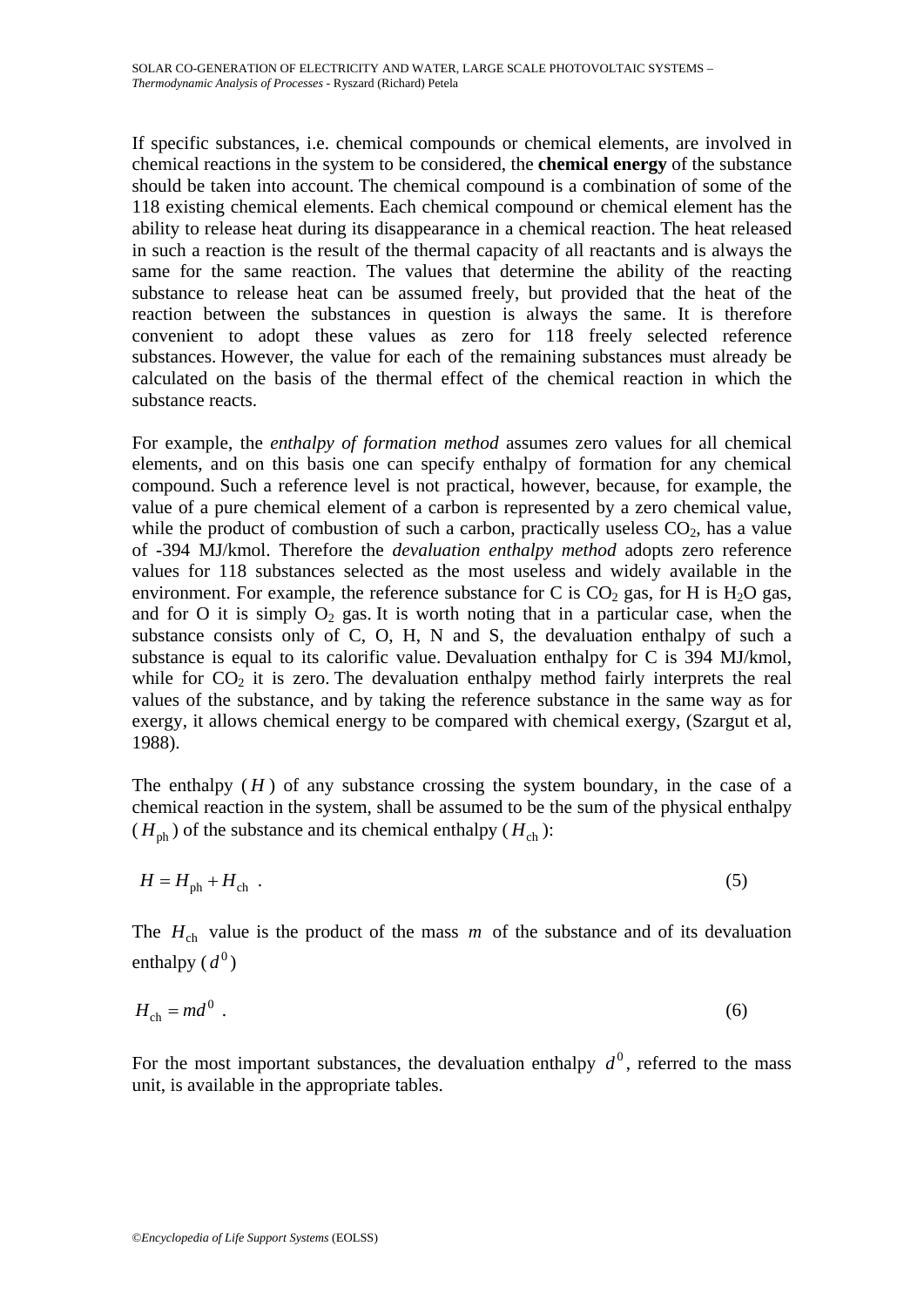If specific substances, i.e. chemical compounds or chemical elements, are involved in chemical reactions in the system to be considered, the **chemical energy** of the substance should be taken into account. The chemical compound is a combination of some of the 118 existing chemical elements. Each chemical compound or chemical element has the ability to release heat during its disappearance in a chemical reaction. The heat released in such a reaction is the result of the thermal capacity of all reactants and is always the same for the same reaction. The values that determine the ability of the reacting substance to release heat can be assumed freely, but provided that the heat of the reaction between the substances in question is always the same. It is therefore convenient to adopt these values as zero for 118 freely selected reference substances. However, the value for each of the remaining substances must already be calculated on the basis of the thermal effect of the chemical reaction in which the substance reacts.

For example, the *enthalpy of formation method* assumes zero values for all chemical elements, and on this basis one can specify enthalpy of formation for any chemical compound. Such a reference level is not practical, however, because, for example, the value of a pure chemical element of a carbon is represented by a zero chemical value, while the product of combustion of such a carbon, practically useless  $CO<sub>2</sub>$ , has a value of -394 MJ/kmol. Therefore the *devaluation enthalpy method* adopts zero reference values for 118 substances selected as the most useless and widely available in the environment. For example, the reference substance for C is  $CO<sub>2</sub>$  gas, for H is H<sub>2</sub>O gas, and for O it is simply  $O_2$  gas. It is worth noting that in a particular case, when the substance consists only of C, O, H, N and S, the devaluation enthalpy of such a substance is equal to its calorific value. Devaluation enthalpy for C is 394 MJ/kmol, while for  $CO<sub>2</sub>$  it is zero. The devaluation enthalpy method fairly interprets the real values of the substance, and by taking the reference substance in the same way as for exergy, it allows chemical energy to be compared with chemical exergy, (Szargut et al, 1988).

The enthalpy  $(H)$  of any substance crossing the system boundary, in the case of a chemical reaction in the system, shall be assumed to be the sum of the physical enthalpy  $(H_{\text{ph}})$  of the substance and its chemical enthalpy  $(H_{\text{ch}})$ :

$$
H = H_{\rm ph} + H_{\rm ch} \tag{5}
$$

The  $H_{ch}$  value is the product of the mass  $m$  of the substance and of its devaluation enthalpy  $(d^0)$ 

$$
H_{\rm ch} = md^0 \tag{6}
$$

For the most important substances, the devaluation enthalpy  $d^0$ , referred to the mass unit, is available in the appropriate tables.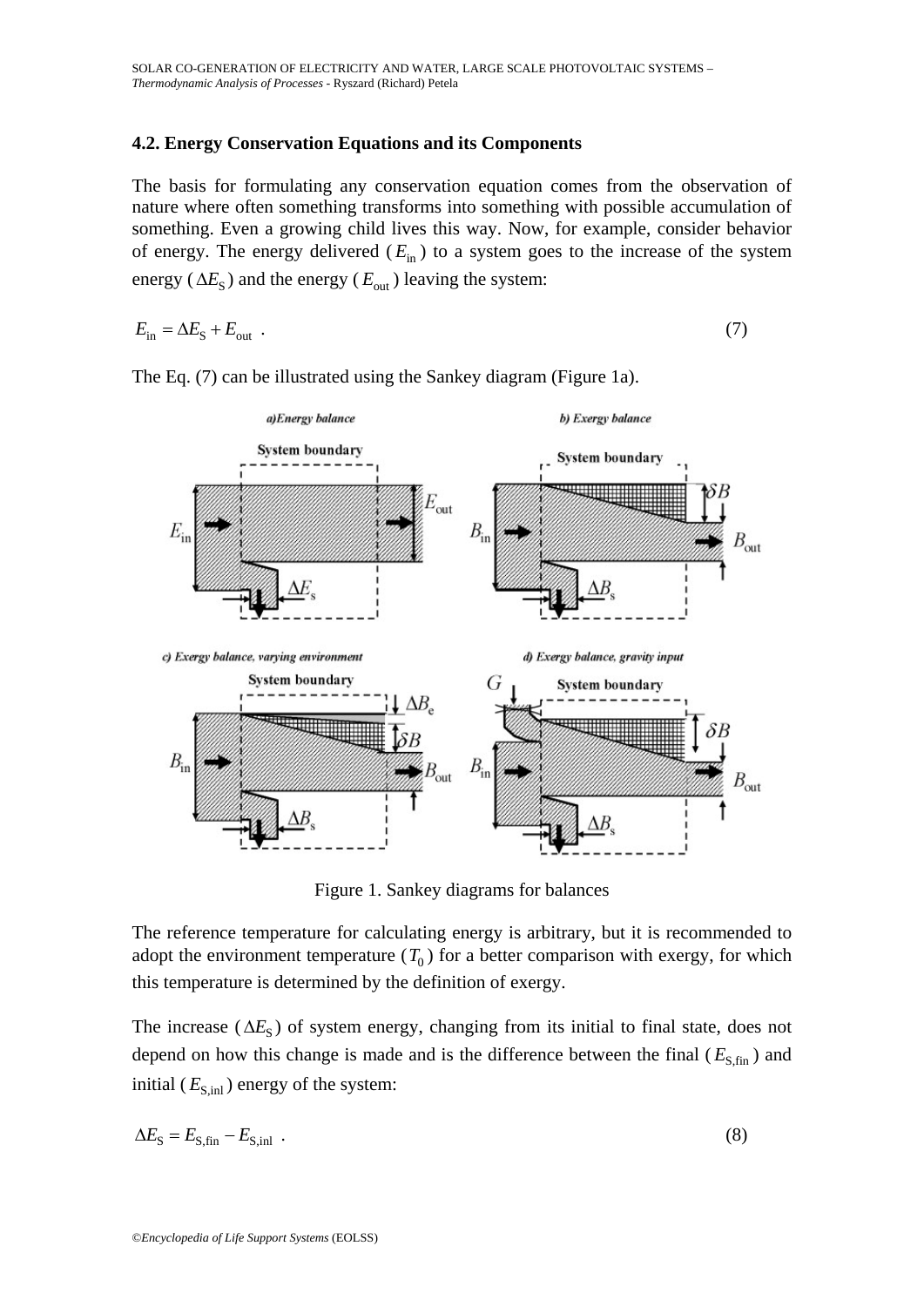## **4.2. Energy Conservation Equations and its Components**

The basis for formulating any conservation equation comes from the observation of nature where often something transforms into something with possible accumulation of something. Even a growing child lives this way. Now, for example, consider behavior of energy. The energy delivered  $(E_{\text{in}})$  to a system goes to the increase of the system energy ( $\Delta E_{\rm S}$ ) and the energy ( $E_{\rm out}$ ) leaving the system:

$$
E_{\rm in} = \Delta E_{\rm S} + E_{\rm out} \tag{7}
$$



The Eq. (7) can be illustrated using the Sankey diagram (Figure 1a).

Figure 1. Sankey diagrams for balances

The reference temperature for calculating energy is arbitrary, but it is recommended to adopt the environment temperature  $(T_0)$  for a better comparison with exergy, for which this temperature is determined by the definition of exergy.

The increase ( $\Delta E_{\rm s}$ ) of system energy, changing from its initial to final state, does not depend on how this change is made and is the difference between the final  $(E_{\rm S,fin})$  and initial  $(E_{\text{S,inl}})$  energy of the system:

$$
\Delta E_{\rm S} = E_{\rm S, fin} - E_{\rm S, inl} \tag{8}
$$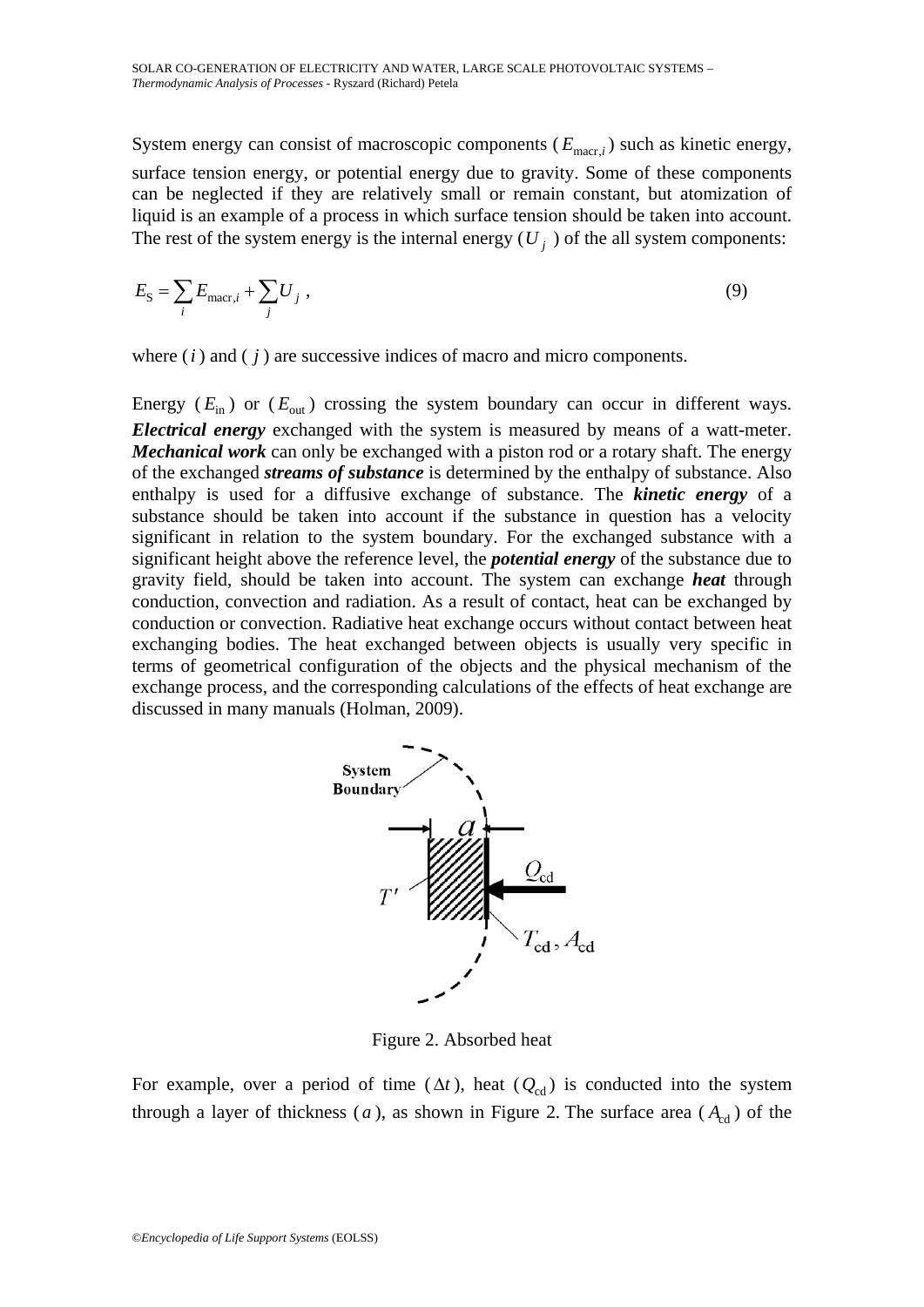System energy can consist of macroscopic components ( $E_{\text{macro}}$ ) such as kinetic energy, surface tension energy, or potential energy due to gravity. Some of these components can be neglected if they are relatively small or remain constant, but atomization of liquid is an example of a process in which surface tension should be taken into account. The rest of the system energy is the internal energy  $(U_i)$  of the all system components:

$$
E_{\rm S} = \sum_{i} E_{\rm macr, i} + \sum_{j} U_j \,, \tag{9}
$$

where (*i* ) and ( *j* ) are successive indices of macro and micro components.

Energy  $(E_{\text{in}})$  or  $(E_{\text{out}})$  crossing the system boundary can occur in different ways. *Electrical energy* exchanged with the system is measured by means of a watt-meter. *Mechanical work* can only be exchanged with a piston rod or a rotary shaft. The energy of the exchanged *streams of substance* is determined by the enthalpy of substance. Also enthalpy is used for a diffusive exchange of substance. The *kinetic energy* of a substance should be taken into account if the substance in question has a velocity significant in relation to the system boundary. For the exchanged substance with a significant height above the reference level, the *potential energy* of the substance due to gravity field, should be taken into account. The system can exchange *heat* through conduction, convection and radiation. As a result of contact, heat can be exchanged by conduction or convection. Radiative heat exchange occurs without contact between heat exchanging bodies. The heat exchanged between objects is usually very specific in terms of geometrical configuration of the objects and the physical mechanism of the exchange process, and the corresponding calculations of the effects of heat exchange are discussed in many manuals (Holman, 2009).



Figure 2. Absorbed heat

For example, over a period of time  $(\Delta t)$ , heat  $(Q_{cd})$  is conducted into the system through a layer of thickness (*a*), as shown in Figure 2. The surface area ( $A_{cd}$ ) of the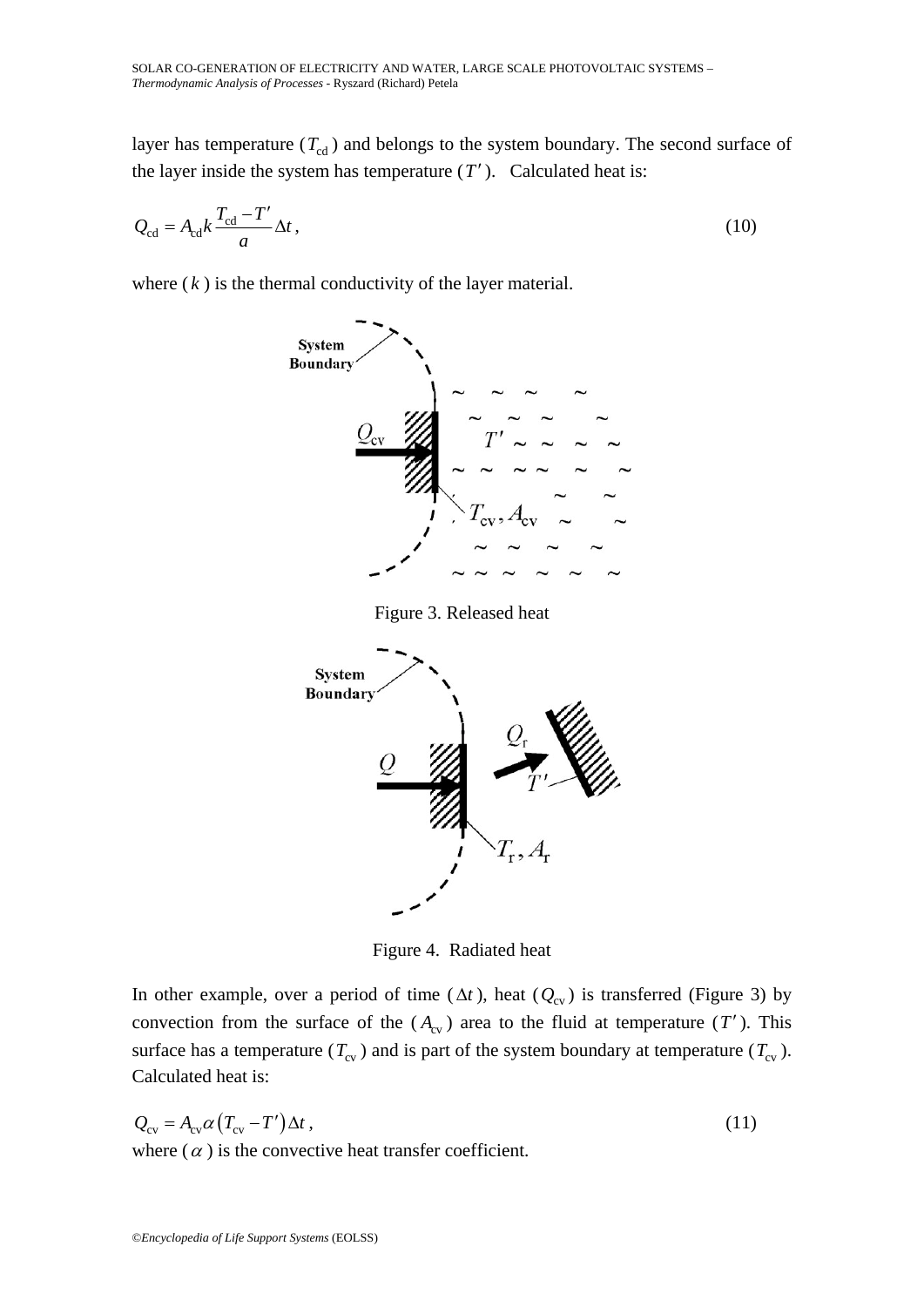layer has temperature  $(T_{cd})$  and belongs to the system boundary. The second surface of the layer inside the system has temperature  $(T')$ . Calculated heat is:

$$
Q_{\rm cd} = A_{\rm cd} k \frac{T_{\rm cd} - T'}{a} \Delta t \,, \tag{10}
$$

where  $(k)$  is the thermal conductivity of the layer material.



Figure 3. Released heat



Figure 4. Radiated heat

In other example, over a period of time ( $\Delta t$ ), heat ( $Q_{\text{cv}}$ ) is transferred (Figure 3) by convection from the surface of the  $(A<sub>cv</sub>)$  area to the fluid at temperature  $(T')$ . This surface has a temperature ( $T_{\text{cv}}$ ) and is part of the system boundary at temperature ( $T_{\text{cv}}$ ). Calculated heat is:

$$
Q_{\rm cv} = A_{\rm cv} \alpha (T_{\rm cv} - T') \Delta t,
$$
\nwhere  $(\alpha)$  is the convective host transfer coefficient

where  $(\alpha)$  is the convective heat transfer coefficient.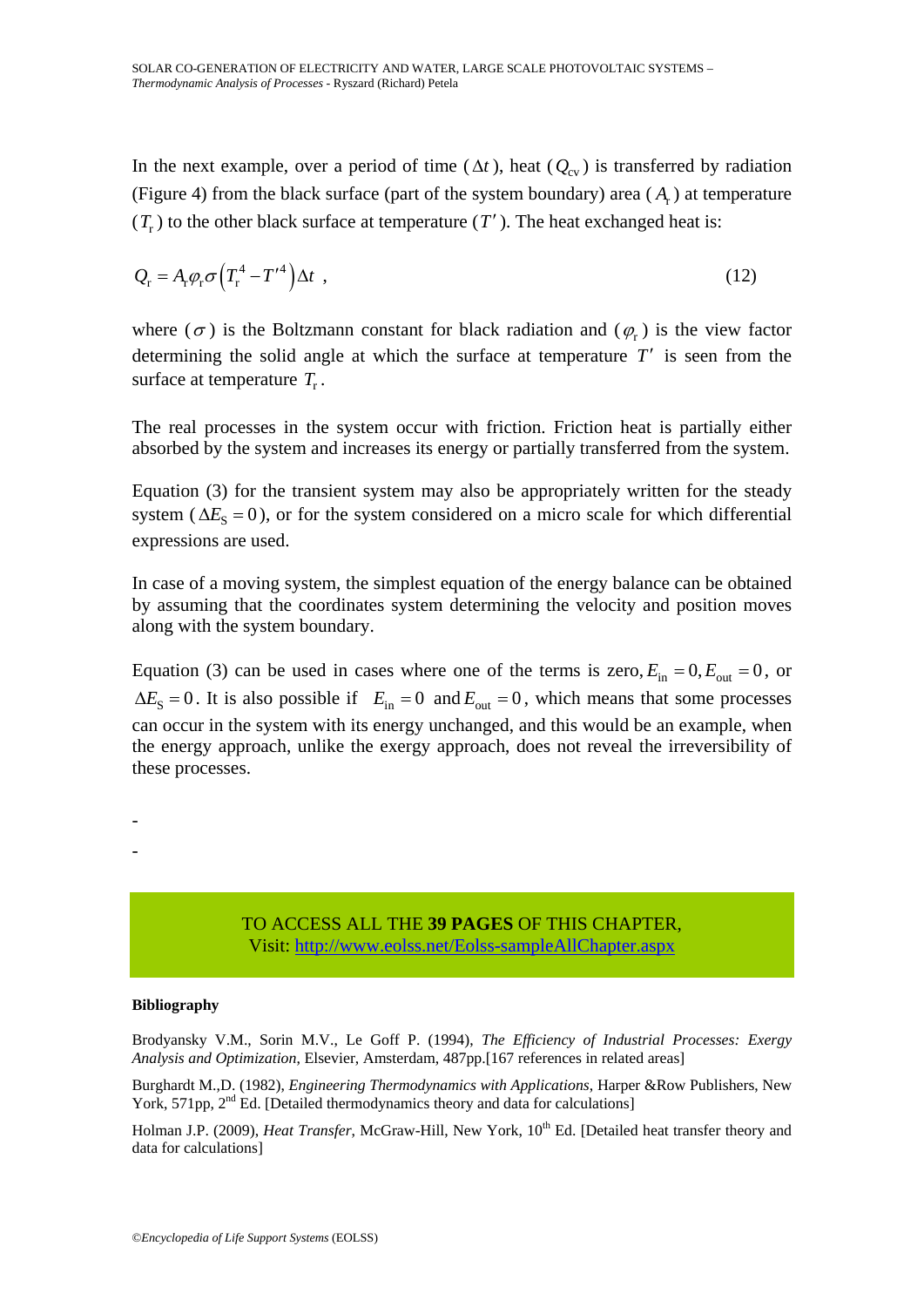In the next example, over a period of time ( $\Delta t$ ), heat ( $Q_{c\nu}$ ) is transferred by radiation (Figure 4) from the black surface (part of the system boundary) area  $(A_r)$  at temperature  $(T_r)$  to the other black surface at temperature  $(T')$ . The heat exchanged heat is:

$$
Q_{\rm r} = A_{\rm r} \varphi_{\rm r} \sigma \left( T_{\rm r}^4 - T^{\prime 4} \right) \Delta t \tag{12}
$$

where ( $\sigma$ ) is the Boltzmann constant for black radiation and ( $\varphi_r$ ) is the view factor determining the solid angle at which the surface at temperature *T*′ is seen from the surface at temperature  $T_r$ .

The real processes in the system occur with friction. Friction heat is partially either absorbed by the system and increases its energy or partially transferred from the system.

Equation (3) for the transient system may also be appropriately written for the steady system ( $\Delta E_s = 0$ ), or for the system considered on a micro scale for which differential expressions are used.

In case of a moving system, the simplest equation of the energy balance can be obtained by assuming that the coordinates system determining the velocity and position moves along with the system boundary.

Equation (3) can be used in cases where one of the terms is zero,  $E_{\text{in}} = 0$ ,  $E_{\text{out}} = 0$ , or  $\Delta E_{\rm S} = 0$ . It is also possible if  $E_{\rm in} = 0$  and  $E_{\rm out} = 0$ , which means that some processes can occur in the system with its energy unchanged, and this would be an example, when the energy approach, unlike the exergy approach, does not reveal the irreversibility of these processes.

-

-

#### TO ACCESS ALL THE **39 PAGES** OF THIS CHAPTER, Visi[t: http://www.eolss.net/Eolss-sampleAllChapter.aspx](https://www.eolss.net/ebooklib/sc_cart.aspx?File=E6-107-20)

#### **Bibliography**

Brodyansky V.M., Sorin M.V., Le Goff P. (1994), *The Efficiency of Industrial Processes: Exergy Analysis and Optimization*, Elsevier, Amsterdam, 487pp.[167 references in related areas]

Burghardt M.,D. (1982), *Engineering Thermodynamics with Applications*, Harper &Row Publishers, New York, 571pp, 2<sup>nd</sup> Ed. [Detailed thermodynamics theory and data for calculations]

Holman J.P. (2009), *Heat Transfer*, McGraw-Hill, New York, 10<sup>th</sup> Ed. [Detailed heat transfer theory and data for calculations]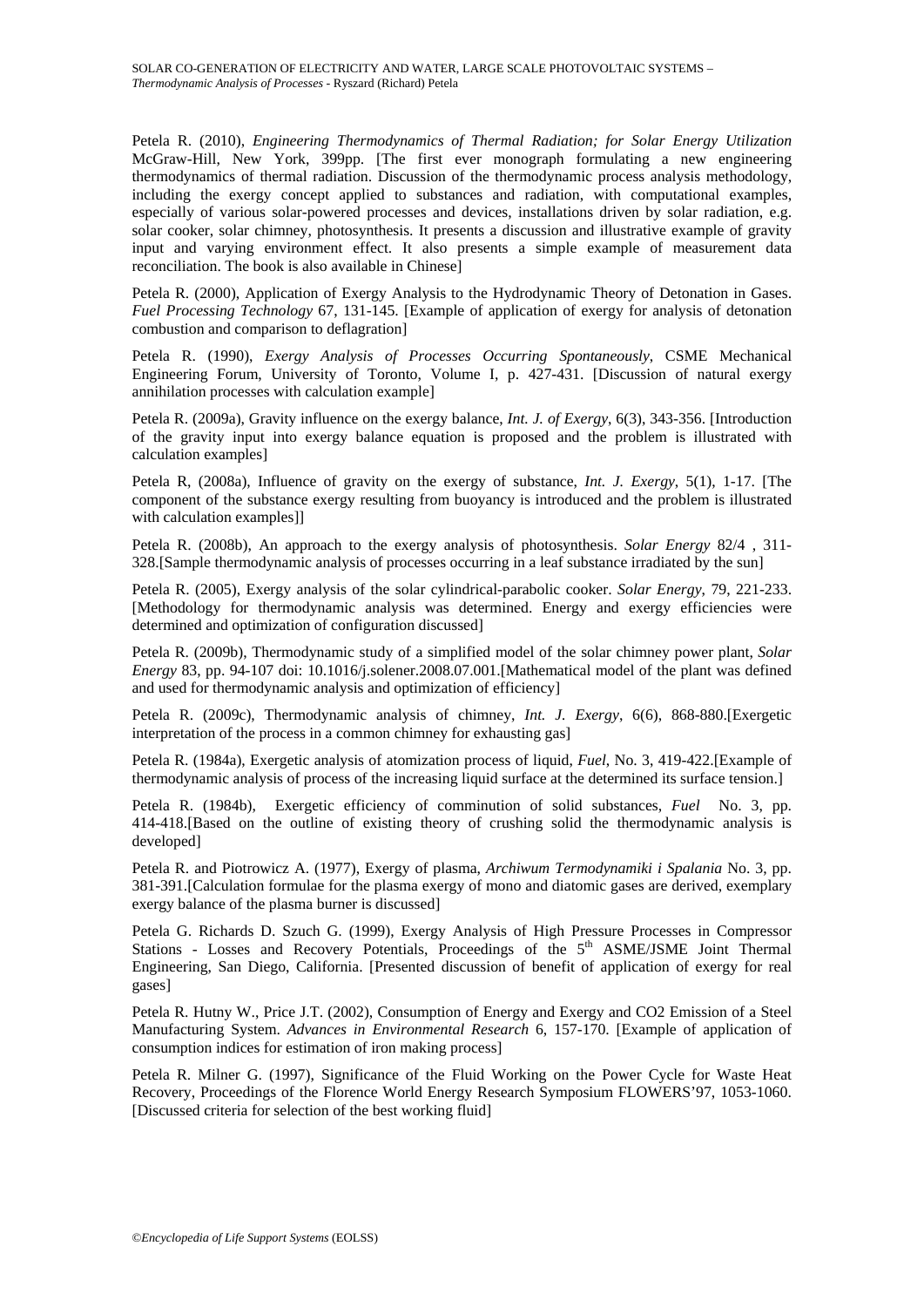Petela R. (2010), *Engineering Thermodynamics of Thermal Radiation; for Solar Energy Utilization* McGraw-Hill, New York, 399pp. [The first ever monograph formulating a new engineering thermodynamics of thermal radiation. Discussion of the thermodynamic process analysis methodology, including the exergy concept applied to substances and radiation, with computational examples, especially of various solar-powered processes and devices, installations driven by solar radiation, e.g. solar cooker, solar chimney, photosynthesis. It presents a discussion and illustrative example of gravity input and varying environment effect. It also presents a simple example of measurement data reconciliation. The book is also available in Chinese]

Petela R. (2000), Application of Exergy Analysis to the Hydrodynamic Theory of Detonation in Gases. *Fuel Processing Technology* 67, 131-145. [Example of application of exergy for analysis of detonation combustion and comparison to deflagration]

Petela R. (1990), *Exergy Analysis of Processes Occurring Spontaneously*, CSME Mechanical Engineering Forum, University of Toronto, Volume I, p. 427-431. [Discussion of natural exergy annihilation processes with calculation example]

Petela R. (2009a), Gravity influence on the exergy balance, *Int. J. of Exergy*, 6(3), 343-356. [Introduction of the gravity input into exergy balance equation is proposed and the problem is illustrated with calculation examples]

Petela R, (2008a), Influence of gravity on the exergy of substance, *Int. J. Exergy*, 5(1), 1-17. [The component of the substance exergy resulting from buoyancy is introduced and the problem is illustrated with calculation examples]]

Petela R. (2008b), An approach to the exergy analysis of photosynthesis. *Solar Energy* 82/4 , 311- 328.[Sample thermodynamic analysis of processes occurring in a leaf substance irradiated by the sun]

Petela R. (2005), Exergy analysis of the solar cylindrical-parabolic cooker. *Solar Energy*, 79, 221-233. [Methodology for thermodynamic analysis was determined. Energy and exergy efficiencies were determined and optimization of configuration discussed]

Petela R. (2009b), Thermodynamic study of a simplified model of the solar chimney power plant, *Solar Energy* 83, pp. 94-107 doi: 10.1016/j.solener.2008.07.001.[Mathematical model of the plant was defined and used for thermodynamic analysis and optimization of efficiency]

Petela R. (2009c), Thermodynamic analysis of chimney, *Int. J. Exergy*, 6(6), 868-880.[Exergetic interpretation of the process in a common chimney for exhausting gas]

Petela R. (1984a), Exergetic analysis of atomization process of liquid, *Fuel*, No. 3, 419-422.[Example of thermodynamic analysis of process of the increasing liquid surface at the determined its surface tension.]

Petela R. (1984b), Exergetic efficiency of comminution of solid substances, *Fuel* No. 3, pp. 414-418.[Based on the outline of existing theory of crushing solid the thermodynamic analysis is developed]

Petela R. and Piotrowicz A. (1977), Exergy of plasma, *Archiwum Termodynamiki i Spalania* No. 3, pp. 381-391.[Calculation formulae for the plasma exergy of mono and diatomic gases are derived, exemplary exergy balance of the plasma burner is discussed]

Petela G. Richards D. Szuch G. (1999), Exergy Analysis of High Pressure Processes in Compressor Stations - Losses and Recovery Potentials, Proceedings of the 5<sup>th</sup> ASME/JSME Joint Thermal Engineering, San Diego, California. [Presented discussion of benefit of application of exergy for real gases]

Petela R. Hutny W., Price J.T. (2002), Consumption of Energy and Exergy and CO2 Emission of a Steel Manufacturing System. *Advances in Environmental Research* 6, 157-170. [Example of application of consumption indices for estimation of iron making process]

Petela R. Milner G. (1997), Significance of the Fluid Working on the Power Cycle for Waste Heat Recovery, Proceedings of the Florence World Energy Research Symposium FLOWERS'97, 1053-1060. [Discussed criteria for selection of the best working fluid]